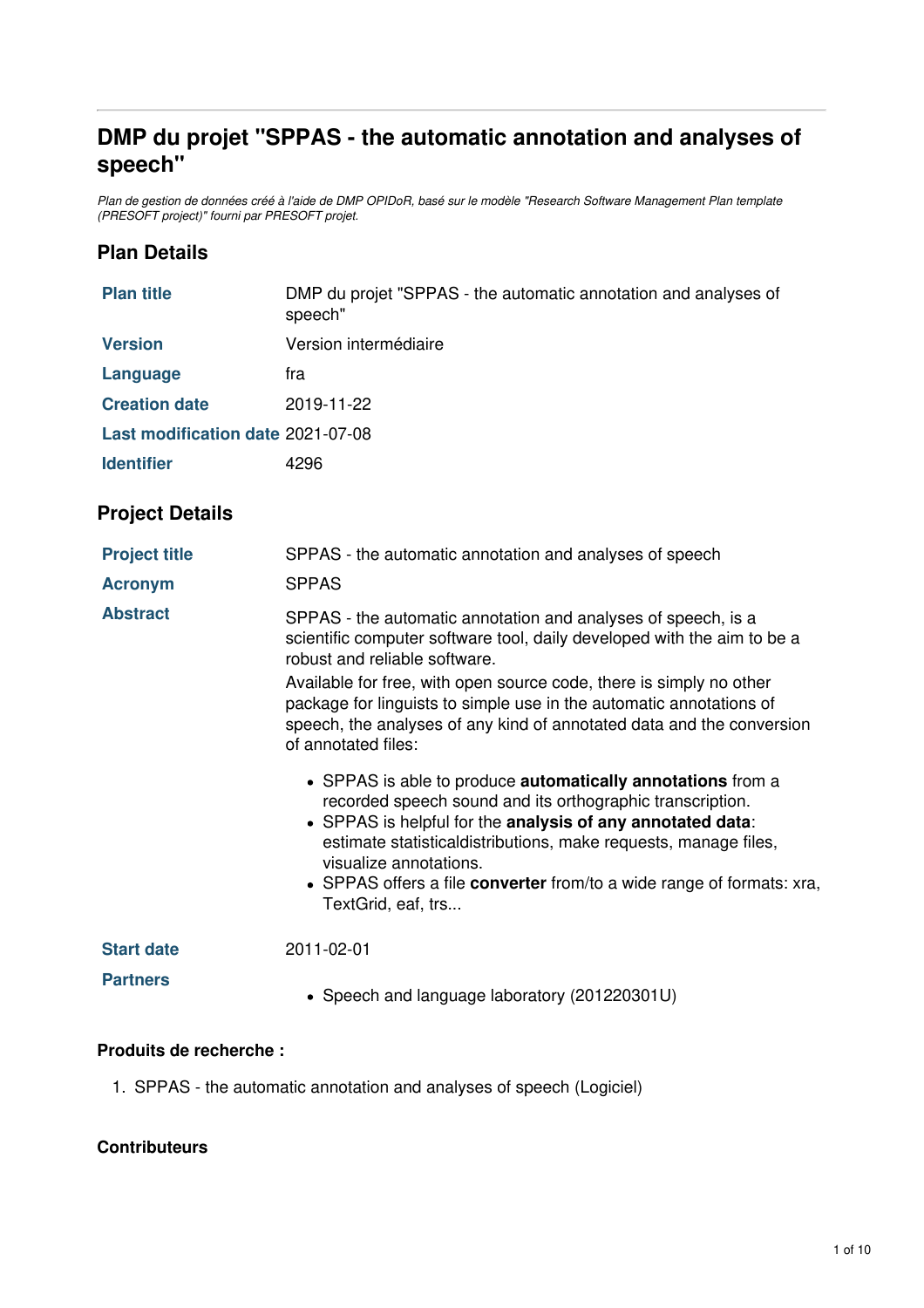# **DMP du projet "SPPAS - the automatic annotation and analyses of speech"**

Plan de gestion de données créé à l'aide de DMP OPIDoR, basé sur le modèle "Research Software Management Plan template *(PRESOFT project)" fourni par PRESOFT projet.*

#### **Plan Details**

| <b>Plan title</b>                 | DMP du projet "SPPAS - the automatic annotation and analyses of<br>speech"                                                                                                                                                                                                                                                                                                                                              |  |
|-----------------------------------|-------------------------------------------------------------------------------------------------------------------------------------------------------------------------------------------------------------------------------------------------------------------------------------------------------------------------------------------------------------------------------------------------------------------------|--|
| <b>Version</b>                    | Version intermédiaire                                                                                                                                                                                                                                                                                                                                                                                                   |  |
| Language                          | fra                                                                                                                                                                                                                                                                                                                                                                                                                     |  |
| <b>Creation date</b>              | 2019-11-22                                                                                                                                                                                                                                                                                                                                                                                                              |  |
| Last modification date 2021-07-08 |                                                                                                                                                                                                                                                                                                                                                                                                                         |  |
| <b>Identifier</b>                 | 4296                                                                                                                                                                                                                                                                                                                                                                                                                    |  |
| <b>Project Details</b>            |                                                                                                                                                                                                                                                                                                                                                                                                                         |  |
| <b>Project title</b>              | SPPAS - the automatic annotation and analyses of speech                                                                                                                                                                                                                                                                                                                                                                 |  |
| <b>Acronym</b>                    | <b>SPPAS</b>                                                                                                                                                                                                                                                                                                                                                                                                            |  |
| <b>Abstract</b>                   | SPPAS - the automatic annotation and analyses of speech, is a<br>scientific computer software tool, daily developed with the aim to be a<br>robust and reliable software.<br>Available for free, with open source code, there is simply no other<br>package for linguists to simple use in the automatic annotations of<br>speech, the analyses of any kind of annotated data and the conversion<br>of annotated files: |  |
|                                   | • SPPAS is able to produce <b>automatically annotations</b> from a<br>recorded speech sound and its orthographic transcription.<br>• SPPAS is helpful for the analysis of any annotated data:<br>estimate statisticaldistributions, make requests, manage files,<br>visualize annotations.<br>• SPPAS offers a file converter from/to a wide range of formats: xra,<br>TextGrid, eaf, trs                               |  |
| <b>Start date</b>                 | 2011-02-01                                                                                                                                                                                                                                                                                                                                                                                                              |  |
| <b>Partners</b>                   | • Speech and language laboratory (201220301U)                                                                                                                                                                                                                                                                                                                                                                           |  |

#### **Produits de recherche :**

1. SPPAS - the automatic annotation and analyses of speech (Logiciel)

#### **Contributeurs**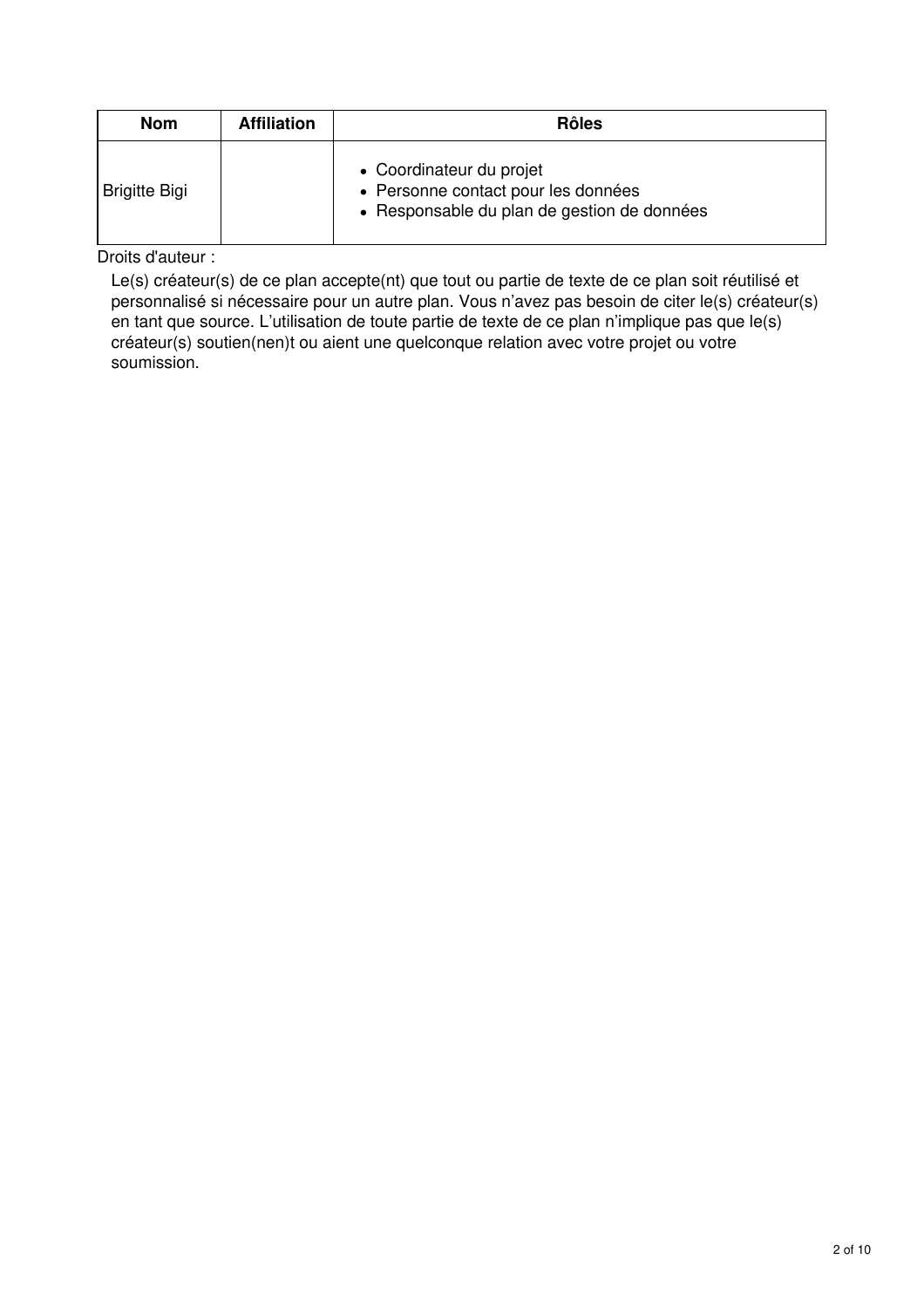| <b>Nom</b>           | <b>Affiliation</b> | <b>Rôles</b>                                                                                                   |
|----------------------|--------------------|----------------------------------------------------------------------------------------------------------------|
| <b>Brigitte Bigi</b> |                    | • Coordinateur du projet<br>• Personne contact pour les données<br>• Responsable du plan de gestion de données |

Droits d'auteur :

Le(s) créateur(s) de ce plan accepte(nt) que tout ou partie de texte de ce plan soit réutilisé et personnalisé si nécessaire pour un autre plan. Vous n'avez pas besoin de citer le(s) créateur(s) en tant que source. L'utilisation de toute partie de texte de ce plan n'implique pas que le(s) créateur(s) soutien(nen)t ou aient une quelconque relation avec votre projet ou votre soumission.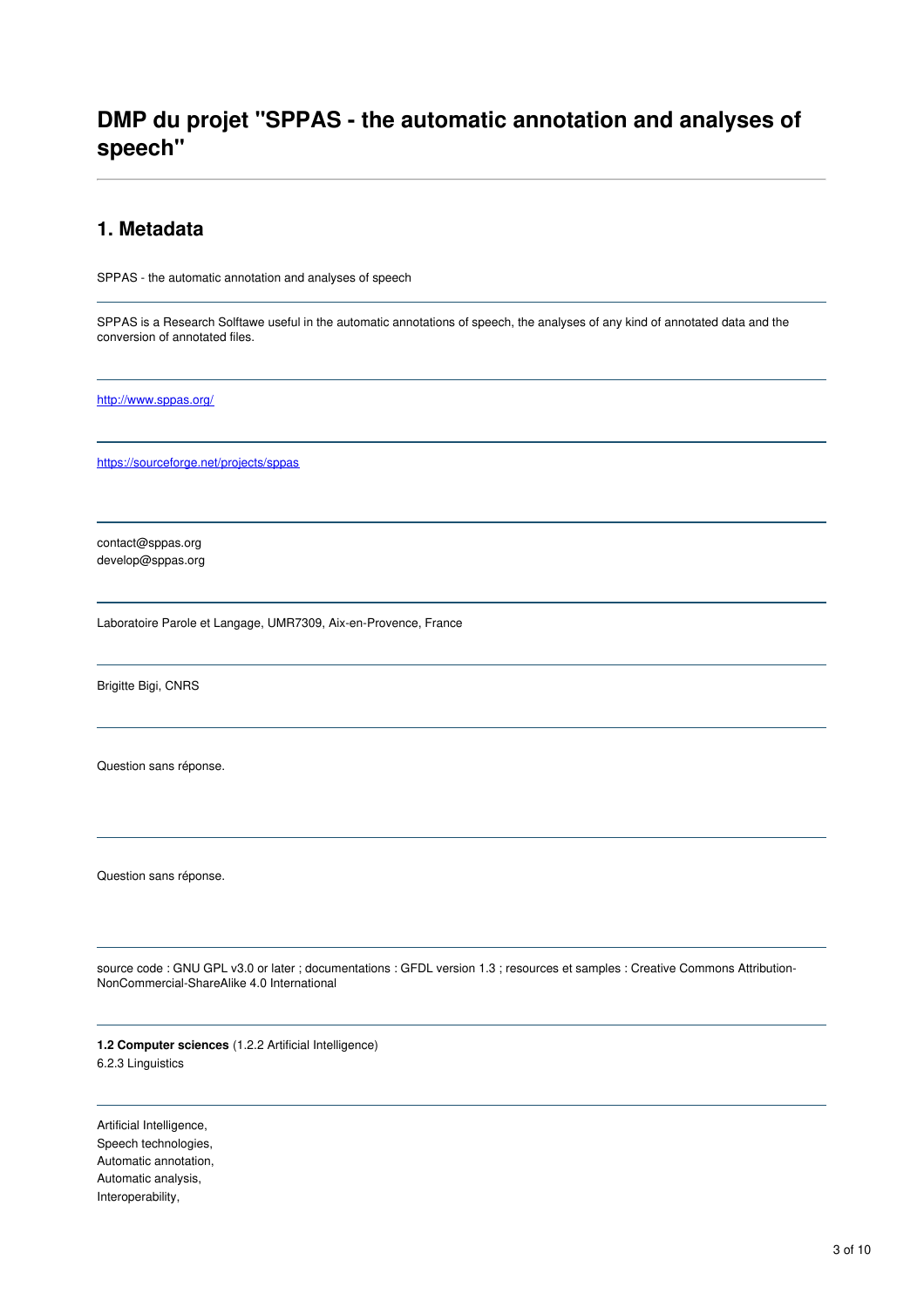# **DMP du projet "SPPAS - the automatic annotation and analyses of speech"**

#### **1. Metadata**

SPPAS - the automatic annotation and analyses of speech

SPPAS is a Research Solftawe useful in the automatic annotations of speech, the analyses of any kind of annotated data and the conversion of annotated files.

<http://www.sppas.org/>

<https://sourceforge.net/projects/sppas>

contact@sppas.org develop@sppas.org

Laboratoire Parole et Langage, UMR7309, Aix-en-Provence, France

Brigitte Bigi, CNRS

Question sans réponse.

Question sans réponse.

source code : GNU GPL v3.0 or later ; documentations : GFDL version 1.3 ; resources et samples : Creative Commons Attribution-NonCommercial-ShareAlike 4.0 International

**1.2 Computer sciences** (1.2.2 Artificial Intelligence) 6.2.3 Linguistics

Artificial Intelligence, Speech technologies, Automatic annotation, Automatic analysis, Interoperability,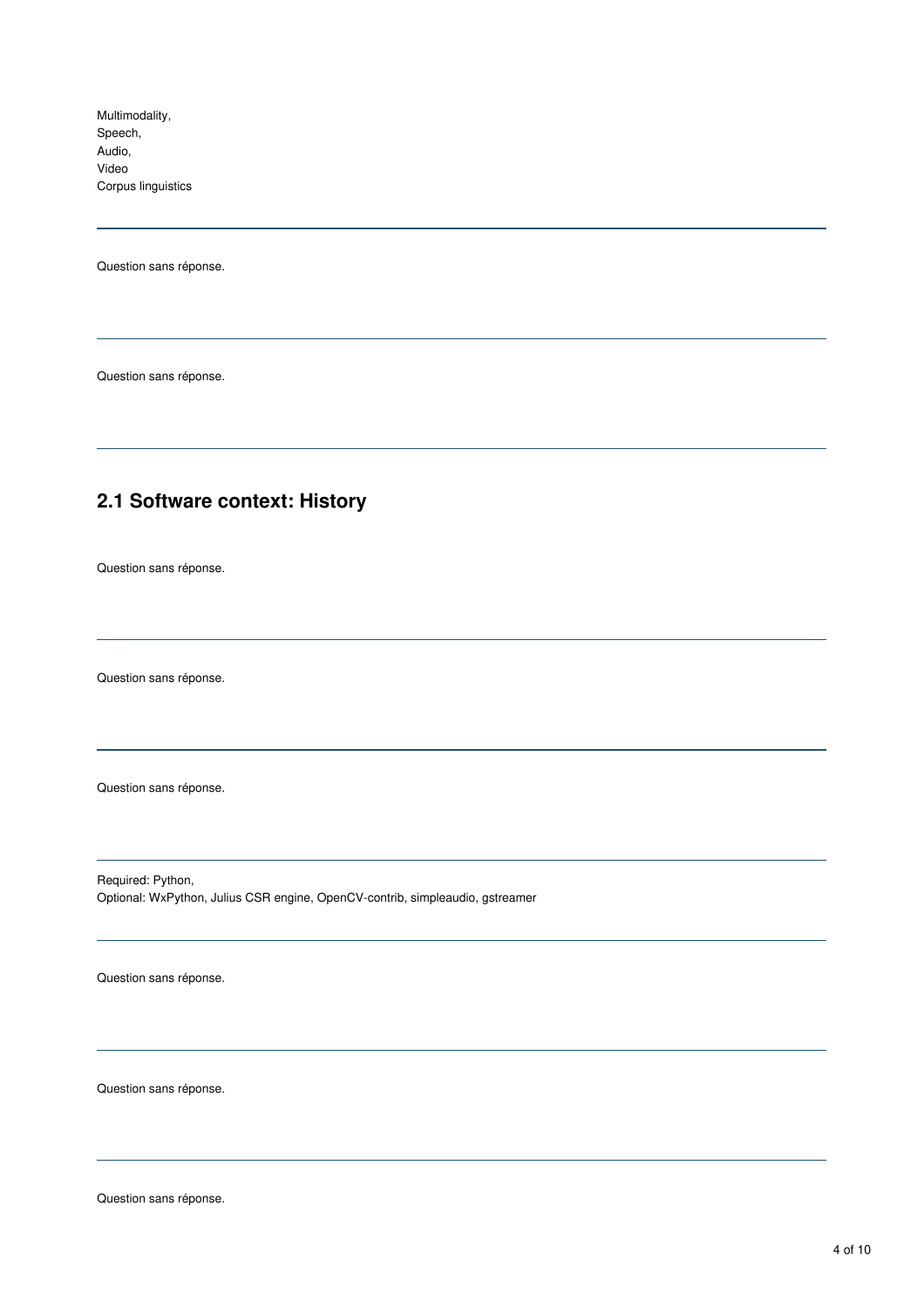Multimodality, Speech, Audio, Video Corpus linguistics

Question sans réponse.

Question sans réponse.

## **2.1 Software context: History**

Question sans réponse.

Question sans réponse.

Question sans réponse.

Required: Python, Optional: WxPython, Julius CSR engine, OpenCV-contrib, simpleaudio, gstreamer

Question sans réponse.

Question sans réponse.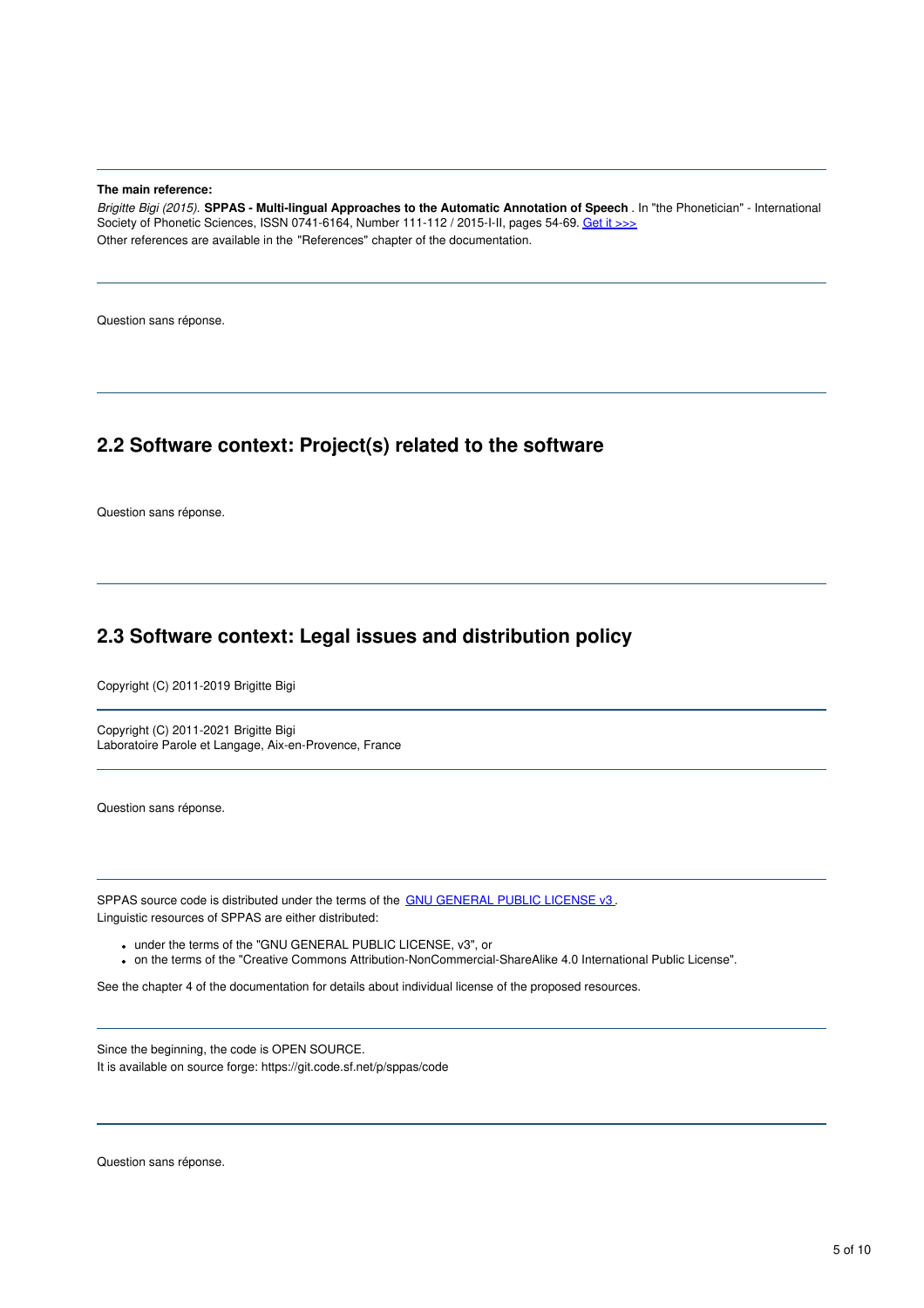**The main reference:**

*Brigitte Bigi (2015).* **SPPAS - Multi-lingual Approaches to the Automatic Annotation of Speech** . In "the Phonetician" - International Society of Phonetic Sciences, ISSN 0741-6164, Number 111-112 / 2015-I-II, pages 54-69. Get it [>>>](http://www.isphs.org/Phonetician/Phonetician_111-112.pdf#page=54) Other references are available in the "References" chapter of the documentation.

Question sans réponse.

#### **2.2 Software context: Project(s) related to the software**

Question sans réponse.

## **2.3 Software context: Legal issues and distribution policy**

Copyright (C) 2011-2019 Brigitte Bigi

Copyright (C) 2011-2021 Brigitte Bigi Laboratoire Parole et Langage, Aix-en-Provence, France

Question sans réponse.

SPPAS source code is distributed under the terms of the GNU [GENERAL](https://www.gnu.org/licenses/gpl-3.0.en.html) PUBLIC LICENSE v3. Linguistic resources of SPPAS are either distributed:

under the terms of the "GNU GENERAL PUBLIC LICENSE, v3", or

on the terms of the "Creative Commons Attribution-NonCommercial-ShareAlike 4.0 International Public License".

See the chapter 4 of the documentation for details about individual license of the proposed resources.

Since the beginning, the code is OPEN SOURCE. It is available on source forge: https://git.code.sf.net/p/sppas/code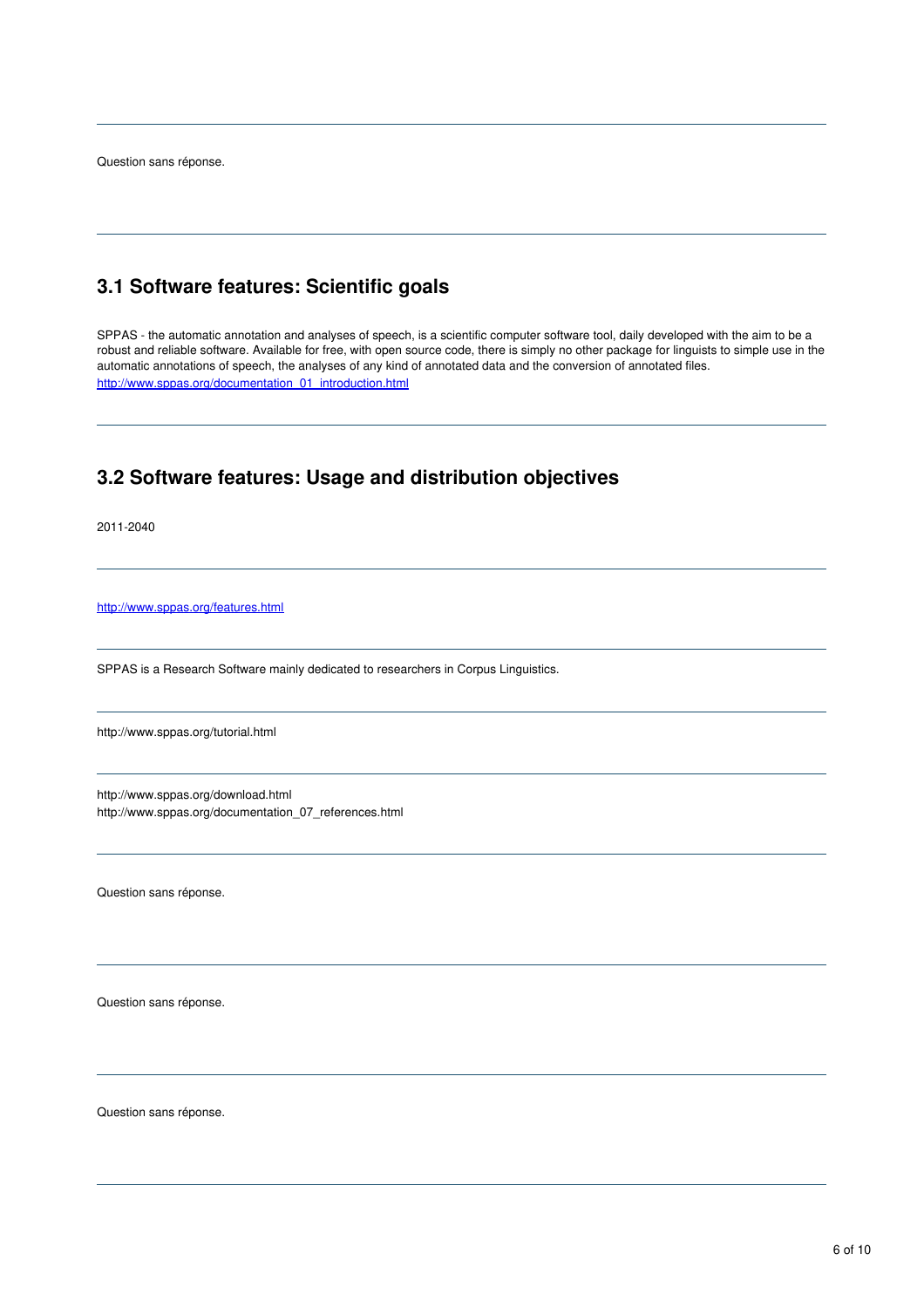## **3.1 Software features: Scientific goals**

SPPAS - the automatic annotation and analyses of speech, is a scientific computer software tool, daily developed with the aim to be a robust and reliable software. Available for free, with open source code, there is simply no other package for linguists to simple use in the automatic annotations of speech, the analyses of any kind of annotated data and the conversion of annotated files. [http://www.sppas.org/documentation\\_01\\_introduction.html](http://www.sppas.org/documentation_01_introduction.html)

## **3.2 Software features: Usage and distribution objectives**

2011-2040

<http://www.sppas.org/features.html>

SPPAS is a Research Software mainly dedicated to researchers in Corpus Linguistics.

http://www.sppas.org/tutorial.html

http://www.sppas.org/download.html http://www.sppas.org/documentation\_07\_references.html

Question sans réponse.

Question sans réponse.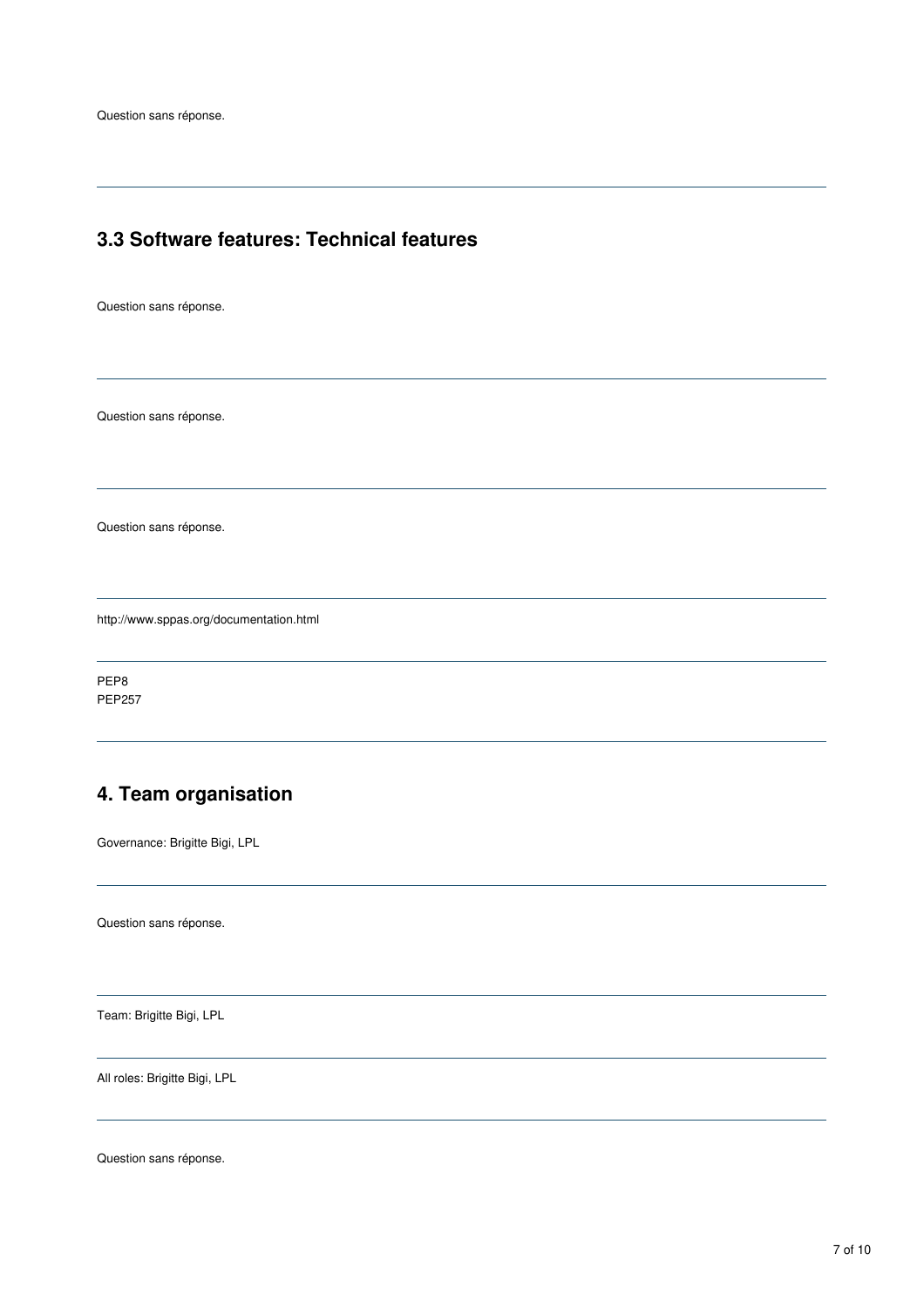## **3.3 Software features: Technical features**

Question sans réponse.

Question sans réponse.

Question sans réponse.

http://www.sppas.org/documentation.html

PEP8 PEP257

# **4. Team organisation**

Governance: Brigitte Bigi, LPL

Question sans réponse.

Team: Brigitte Bigi, LPL

All roles: Brigitte Bigi, LPL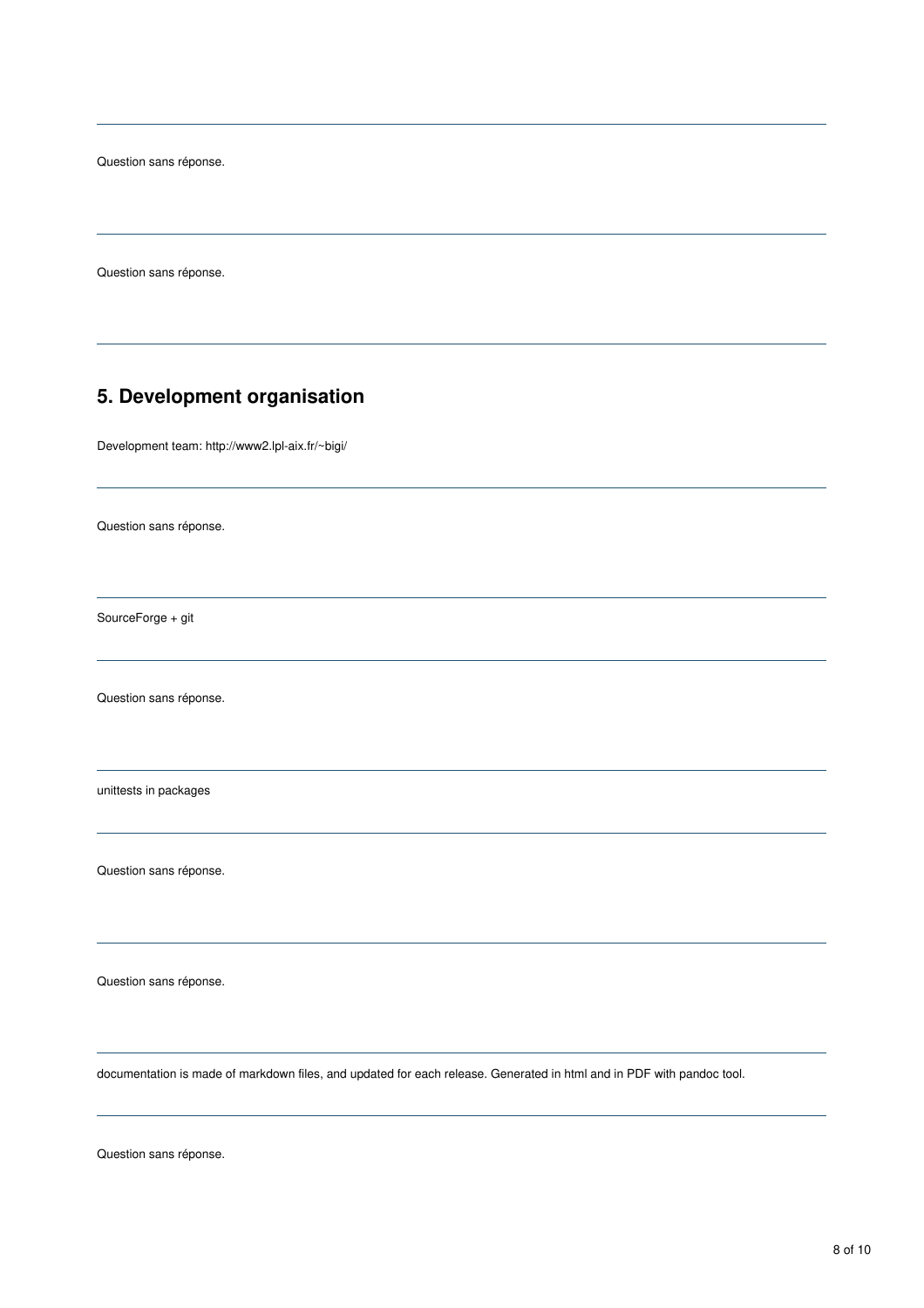Question sans réponse.

## **5. Development organisation**

Development team: http://www2.lpl-aix.fr/~bigi/

Question sans réponse.

SourceForge + git

Question sans réponse.

unittests in packages

Question sans réponse.

Question sans réponse.

documentation is made of markdown files, and updated for each release. Generated in html and in PDF with pandoc tool.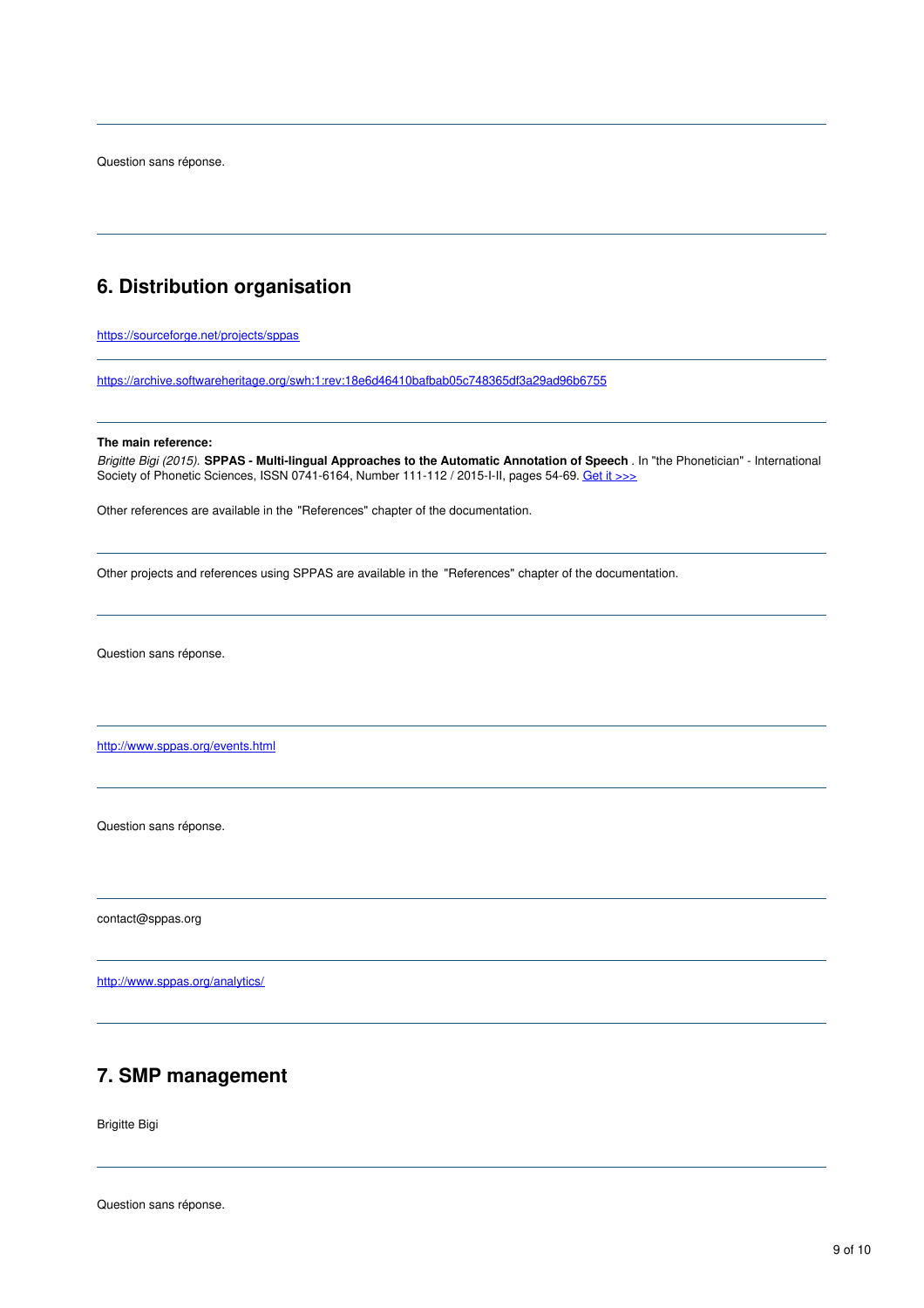## **6. Distribution organisation**

<https://sourceforge.net/projects/sppas>

<https://archive.softwareheritage.org/swh:1:rev:18e6d46410bafbab05c748365df3a29ad96b6755>

#### **The main reference:**

*Brigitte Bigi (2015).* **SPPAS - Multi-lingual Approaches to the Automatic Annotation of Speech** . In "the Phonetician" - International Society of Phonetic Sciences, ISSN 0741-6164, Number 111-112 / 2015-I-II, pages 54-69. Get it [>>>](http://www.isphs.org/Phonetician/Phonetician_111-112.pdf#page=54)

Other references are available in the "References" chapter of the documentation.

Other projects and references using SPPAS are available in the "References" chapter of the documentation.

Question sans réponse.

<http://www.sppas.org/events.html>

Question sans réponse.

contact@sppas.org

<http://www.sppas.org/analytics/>

#### **7. SMP management**

Brigitte Bigi